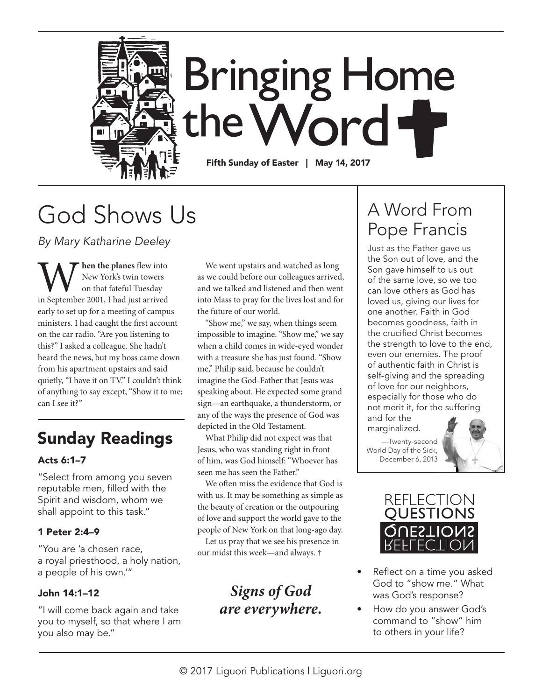

# God Shows Us

*By Mary Katharine Deeley* 

**W** hen the planes flew into<br>
on that fateful Tuesday<br>
in September 2001, I had just arrived New York's twin towers on that fateful Tuesday early to set up for a meeting of campus ministers. I had caught the first account on the car radio. "Are you listening to this?" I asked a colleague. She hadn't heard the news, but my boss came down from his apartment upstairs and said quietly, "I have it on TV." I couldn't think of anything to say except, "Show it to me; can I see it?"

### Sunday Readings

#### Acts 6:1–7

"Select from among you seven reputable men, filled with the Spirit and wisdom, whom we shall appoint to this task."

#### 1 Peter 2:4–9

"You are 'a chosen race, a royal priesthood, a holy nation, a people of his own.'"

#### John 14:1–12

"I will come back again and take you to myself, so that where I am you also may be."

We went upstairs and watched as long as we could before our colleagues arrived, and we talked and listened and then went into Mass to pray for the lives lost and for the future of our world.

"Show me," we say, when things seem impossible to imagine. "Show me," we say when a child comes in wide-eyed wonder with a treasure she has just found. "Show me," Philip said, because he couldn't imagine the God-Father that Jesus was speaking about. He expected some grand sign—an earthquake, a thunderstorm, or any of the ways the presence of God was depicted in the Old Testament.

What Philip did not expect was that Jesus, who was standing right in front of him, was God himself: "Whoever has seen me has seen the Father."

We often miss the evidence that God is with us. It may be something as simple as the beauty of creation or the outpouring of love and support the world gave to the people of New York on that long-ago day.

Let us pray that we see his presence in our midst this week—and always. †

### *Signs of God are everywhere.*

## A Word From Pope Francis

Just as the Father gave us the Son out of love, and the Son gave himself to us out of the same love, so we too can love others as God has loved us, giving our lives for one another. Faith in God becomes goodness, faith in the crucified Christ becomes the strength to love to the end, even our enemies. The proof of authentic faith in Christ is self-giving and the spreading of love for our neighbors, especially for those who do not merit it, for the suffering and for the

marginalized.

—Twenty-second World Day of the Sick, December 6, 2013





- Reflect on a time you asked God to "show me." What was God's response?
- How do you answer God's command to "show" him to others in your life?